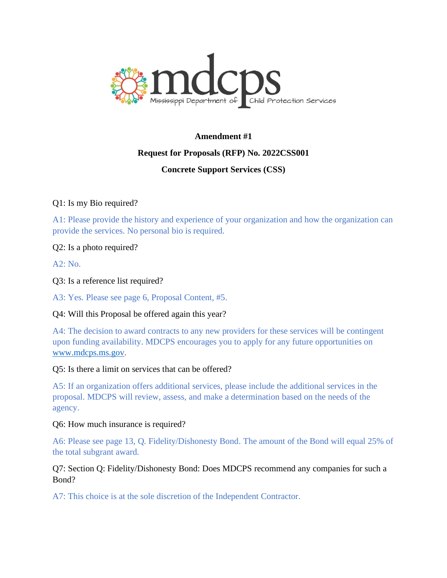

# **Amendment #1**

### **Request for Proposals (RFP) No. 2022CSS001**

## **Concrete Support Services (CSS)**

## Q1: Is my Bio required?

A1: Please provide the history and experience of your organization and how the organization can provide the services. No personal bio is required.

### Q2: Is a photo required?

 $A2: No.$ 

Q3: Is a reference list required?

A3: Yes. Please see page 6, Proposal Content, #5.

### Q4: Will this Proposal be offered again this year?

A4: The decision to award contracts to any new providers for these services will be contingent upon funding availability. MDCPS encourages you to apply for any future opportunities on [www.mdcps.ms.gov.](http://www.mdcps.ms.gov/)

### Q5: Is there a limit on services that can be offered?

A5: If an organization offers additional services, please include the additional services in the proposal. MDCPS will review, assess, and make a determination based on the needs of the agency.

### Q6: How much insurance is required?

A6: Please see page 13, Q. Fidelity/Dishonesty Bond. The amount of the Bond will equal 25% of the total subgrant award.

### Q7: Section Q: Fidelity/Dishonesty Bond: Does MDCPS recommend any companies for such a Bond?

A7: This choice is at the sole discretion of the Independent Contractor.